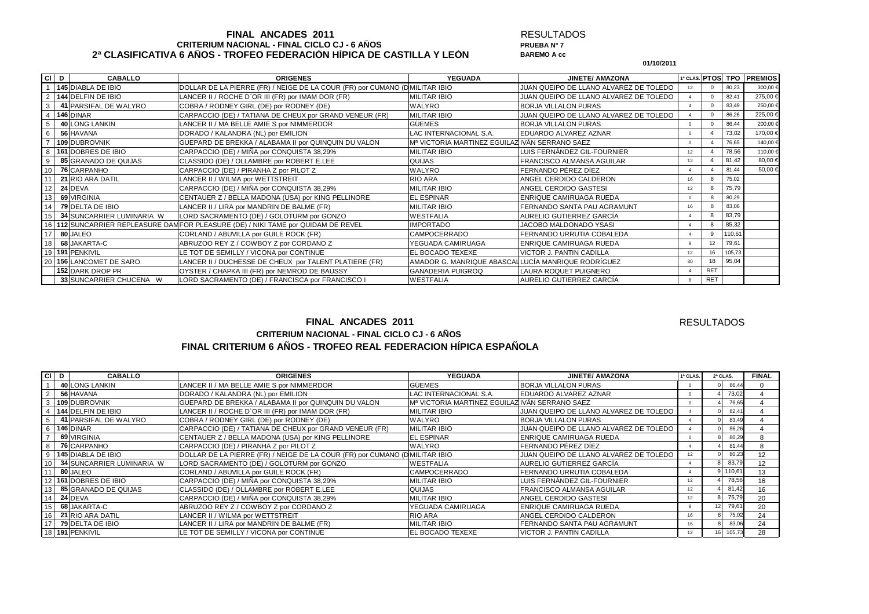### **FINAL ANCADES 2011 CRITERIUM NACIONAL - FINAL CICLO CJ - 6 AÑOS 2ª CLASIFICATIVA 6 AÑOS - TROFEO FEDERACIÓN HÍPICA DE CASTILLA Y LEÓN**

#### RESULTADOS**PRUEBA Nº 7 BAREMO A cc**

**01/10/2011**

| CI D | <b>CABALLO</b>            | <b>ORIGENES</b>                                                                | <b>YEGUADA</b>                                     | <b>JINETE/ AMAZONA</b>                 |    |              |        | 1ª CLAS. PTOSI TPO I PREMIOS |
|------|---------------------------|--------------------------------------------------------------------------------|----------------------------------------------------|----------------------------------------|----|--------------|--------|------------------------------|
|      | 145 DIABLA DE IBIO        | DOLLAR DE LA PIERRE (FR) / NEIGE DE LA COUR (FR) por CUMANO (DMILITAR IBIO     |                                                    | JUAN QUEIPO DE LLANO ALVAREZ DE TOLEDO | 12 |              | 80,23  | 300,00 €                     |
|      | 144 DELFIN DE IBIO        | LANCER II / ROCHE D'OR III (FR) por IMAM DOR (FR)                              | MILITAR IBIO                                       | JUAN QUEIPO DE LLANO ALVAREZ DE TOLEDO |    |              | 82.41  | 275,00 €                     |
| 3    | 41 PARSIFAL DE WALYRO     | COBRA / RODNEY GIRL (DE) por RODNEY (DE)                                       | <b>WALYRO</b>                                      | <b>BORJA VILLALON PURAS</b>            |    |              | 83,49  | 250,00 €                     |
|      | 146 DINAR                 | CARPACCIO (DE) / TATIANA DE CHEUX por GRAND VENEUR (FR)                        | <b>MILITAR IBIO</b>                                | JUAN QUEIPO DE LLANO ALVAREZ DE TOLEDO |    |              | 86,26  | 225,00€                      |
| 5    | 40 LONG LANKIN            | LANCER II / MA BELLE AMIE S por NIMMERDOR                                      | <b>GÜEMES</b>                                      | <b>BORJA VILLALON PURAS</b>            |    |              | 86,44  | 200,00 €                     |
| 6    | 56 HAVANA                 | DORADO / KALANDRA (NL) por EMILION                                             | <b>AC INTERNACIONAL S.A.</b>                       | EDUARDO ALVAREZ AZNAR                  |    |              | 73,02  | 170,00 €                     |
|      | 109 DUBROVNIK             | GUEPARD DE BREKKA / ALABAMA II por QUINQUIN DU VALON                           | Mª VICTORIA MARTINEZ EGUILAZ IVÁN SERRANO SAEZ     |                                        |    |              | 76.65  | 140,00 €                     |
| 8    | 161 DOBRES DE IBIO        | CARPACCIO (DE) / MIÑA por CONQUISTA 38,29%                                     | <b>MILITAR IBIO</b>                                | LUIS FERNÁNDEZ GIL-FOURNIER            | 12 |              | 78,56  | 110,00 €                     |
| 9    | 85 GRANADO DE QUIJAS      | CLASSIDO (DE) / OLLAMBRE por ROBERT E.LEE                                      | <b>QUIJAS</b>                                      | FRANCISCO ALMANSA AGUILAR              | 12 |              | 81,42  | 80,00 €                      |
|      | <b>76 CARPANHO</b>        | CARPACCIO (DE) / PIRANHA Z por PILOT Z                                         | <b>WALYRO</b>                                      | FERNANDO PÉREZ DÍEZ                    |    |              | 81.44  | 50,00 €                      |
|      | 21 RIO ARA DATIL          | LANCER II / WILMA por WETTSTREIT                                               | RIO ARA                                            | ANGEL CERDIDO CALDERON                 | 16 |              | 75.02  |                              |
| 12   | 24 DEVA                   | CARPACCIO (DE) / MIÑA por CONQUISTA 38,29%                                     | <b>MILITAR IBIO</b>                                | ANGEL CERDIDO GASTESI                  | 12 | 8            | 75.79  |                              |
| 13   | 69 VIRGINIA               | CENTAUER Z / BELLA MADONA (USA) por KING PELLINORE                             | <b>EL ESPINAR</b>                                  | ENRIQUE CAMIRUAGA RUEDA                |    |              | 80,29  |                              |
| 14   | 79 DELTA DE IBIO          | LANCER II / LIRA por MANDRIN DE BALME (FR)                                     | <b>MILITAR IBIO</b>                                | FERNANDO SANTA PAU AGRAMUNT            | 16 |              | 83,06  |                              |
| 15   | 34 SUNCARRIER LUMINARIA W | LORD SACRAMENTO (DE) / GOLOTURM por GONZO                                      | <b>WESTFALIA</b>                                   | AURELIO GUTIERREZ GARCÍA               |    | $\mathsf{R}$ | 83,79  |                              |
|      |                           | 112 SUNCARRIER REPLEASURE DAMFOR PLEASURE (DE) / NIKI TAME por QUIDAM DE REVEL | <b>IMPORTADO</b>                                   | JACOBO MALDONADO YSASI                 |    |              | 85,32  |                              |
| 17   | 80 JALEO                  | CORLAND / ABUVILLA por GUILE ROCK (FR)                                         | CAMPOCERRADO                                       | FERNANDO URRUTIA COBALEDA              |    | <b>Q</b>     | 110.61 |                              |
|      | 68 JAKARTA-C              | ABRUZOO REY Z / COWBOY Z por CORDANO Z                                         | YEGUADA CAMIRUAGA                                  | <b>ENRIQUE CAMIRUAGA RUEDA</b>         |    | 12           | 79,61  |                              |
|      | 191 PENKIVIL              | LE TOT DE SEMILLY / VICONA por CONTINUE                                        | EL BOCADO TEXEXE                                   | VICTOR J. PANTIN CADILLA               | 12 | 16           | 105,73 |                              |
| 20   | 156 LANCOMET DE SARO      | LANCER II / DUCHESSE DE CHEUX por TALENT PLATIERE (FR)                         | AMADOR G. MANRIQUE ABASCALLUCÍA MANRIQUE RODRÍGUEZ |                                        | 30 | 18           | 95,04  |                              |
|      | 152 DARK DROP PR          | OYSTER / CHAPKA III (FR) por NEMROD DE BAUSSY                                  | <b>GANADERIA PUIGROQ</b>                           | LAURA ROQUET PUIGNERO                  |    | <b>RET</b>   |        |                              |
|      | 33 SUNCARRIER CHUCENA W   | LORD SACRAMENTO (DE) / FRANCISCA por FRANCISCO I                               | <b>WESTFALIA</b>                                   | AURELIO GUTIERREZ GARCÍA               |    | <b>RET</b>   |        |                              |

## **FINAL ANCADES 2011CRITERIUM NACIONAL - FINAL CICLO CJ - 6 AÑOS**

**RESULTADOS** 

# **FINAL CRITERIUM 6 AÑOS - TROFEO REAL FEDERACION HÍPICA ESPAÑOLA**

| CI D            | <b>CABALLO</b>                   | <b>ORIGENES</b>                                                            | <b>YEGUADA</b>                                             | <b>JINETE/ AMAZONA</b>                 | 1ª CLAS. | 2ª CLAS.        |        | <b>FINAL</b> |  |
|-----------------|----------------------------------|----------------------------------------------------------------------------|------------------------------------------------------------|----------------------------------------|----------|-----------------|--------|--------------|--|
|                 | 40 LONG LANKIN                   | LANCER II / MA BELLE AMIE S por NIMMERDOR                                  | <b>GÜEMES</b>                                              | <b>BORJA VILLALON PURAS</b>            |          |                 | 86,44  |              |  |
| 2               | 56 HAVANA                        | DORADO / KALANDRA (NL) por EMILION                                         | LAC INTERNACIONAL S.A.                                     | EDUARDO ALVAREZ AZNAR                  |          |                 | 73.02  |              |  |
|                 | 3 109 DUBROVNIK                  | GUEPARD DE BREKKA / ALABAMA II por QUINQUIN DU VALON                       | M <sup>a</sup> VICTORIA MARTINEZ EGUILAZ IVÁN SERRANO SAEZ |                                        |          |                 | 76,65  |              |  |
|                 | 4 144 DELFIN DE IBIO             | LANCER II / ROCHE D'OR III (FR) por IMAM DOR (FR)                          | <b>MILITAR IBIO</b>                                        | JUAN QUEIPO DE LLANO ALVAREZ DE TOLEDO |          |                 | 82,41  |              |  |
|                 | 41 PARSIFAL DE WALYRO            | COBRA / RODNEY GIRL (DE) por RODNEY (DE)                                   | <b>WALYRO</b>                                              | <b>BORJA VILLALON PURAS</b>            |          |                 | 83,49  |              |  |
|                 | 6   146 DINAR                    | CARPACCIO (DE) / TATIANA DE CHEUX por GRAND VENEUR (FR)                    | <b>MILITAR IBIO</b>                                        | JUAN QUEIPO DE LLANO ALVAREZ DE TOLEDO |          |                 | 86,26  |              |  |
| $\overline{7}$  | 69 VIRGINIA                      | CENTAUER Z / BELLA MADONA (USA) por KING PELLINORE                         | <b>EL ESPINAR</b>                                          | ENRIQUE CAMIRUAGA RUEDA                |          |                 | 80,29  |              |  |
|                 | 76 CARPANHO                      | CARPACCIO (DE) / PIRANHA Z por PILOT Z                                     | <b>WALYRO</b>                                              | FERNANDO PÉREZ DÍEZ                    |          |                 | 81,44  |              |  |
|                 | 145 DIABLA DE IBIO               | DOLLAR DE LA PIERRE (FR) / NEIGE DE LA COUR (FR) por CUMANO (DMILITAR IBIO |                                                            | JUAN QUEIPO DE LLANO ALVAREZ DE TOLEDO |          |                 | 80,23  | 12           |  |
| 10 <sup>1</sup> | <b>34 SUNCARRIER LUMINARIA W</b> | LORD SACRAMENTO (DE) / GOLOTURM por GONZO                                  | <b>WESTFALIA</b>                                           | AURELIO GUTIERREZ GARCÍA               |          |                 | 83.79  | 12           |  |
| 11              | 80 JALEO                         | CORLAND / ABUVILLA por GUILE ROCK (FR)                                     | <b>CAMPOCERRADO</b>                                        | FERNANDO URRUTIA COBALEDA              |          |                 | 110,61 | 13           |  |
|                 | 12 161 DOBRES DE IBIO            | CARPACCIO (DE) / MIÑA por CONQUISTA 38,29%                                 | <b>MILITAR IBIO</b>                                        | LUIS FERNANDEZ GIL-FOURNIER            | 12       |                 | 78.56  | 16           |  |
| 13 <sup>1</sup> | 85 GRANADO DE QUIJAS             | CLASSIDO (DE) / OLLAMBRE por ROBERT E.LEE                                  | <b>QUIJAS</b>                                              | <b>FRANCISCO ALMANSA AGUILAR</b>       | 12       |                 | 81.42  | 16           |  |
| 14 <sup>1</sup> | 24 DEVA                          | CARPACCIO (DE) / MIÑA por CONQUISTA 38,29%                                 | <b>MILITAR IBIO</b>                                        | ANGEL CERDIDO GASTESI                  | 12       |                 | 75,79  | 20           |  |
| 15              | 68 JAKARTA-C                     | ABRUZOO REY Z / COWBOY Z por CORDANO Z                                     | YEGUADA CAMIRUAGA                                          | ENRIQUE CAMIRUAGA RUEDA                |          |                 | 79.61  | 20           |  |
| 16              | <b>21 RIO ARA DATIL</b>          | LANCER II / WILMA por WETTSTREIT                                           | <b>RIO ARA</b>                                             | ANGEL CERDIDO CALDERON                 | 16       |                 | 75,02  | 24           |  |
| 17              | <b>79 DELTA DE IBIO</b>          | LANCER II / LIRA por MANDRIN DE BALME (FR)                                 | <b>MILITAR IBIO</b>                                        | FERNANDO SANTA PAU AGRAMUNT            | 16       |                 | 83,06  | 24           |  |
|                 | 18 191 PENKIVIL                  | LE TOT DE SEMILLY / VICONA por CONTINUE                                    | <b>EL BOCADO TEXEXE</b>                                    | VICTOR J. PANTIN CADILLA               | 12       | 16 <sup>1</sup> | 105,73 | 28           |  |